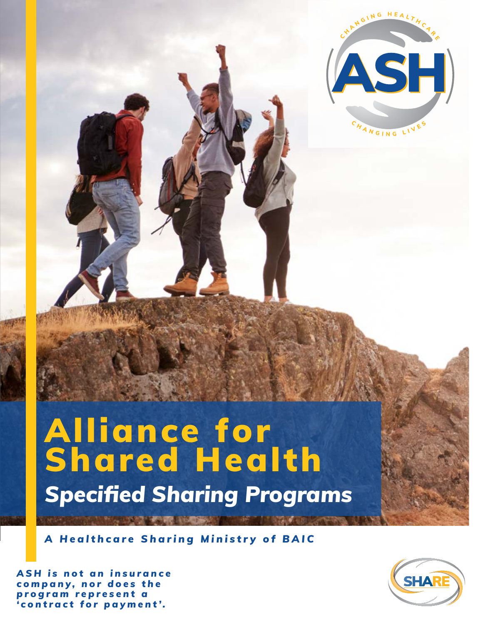

## Alliance for Shared Health *Specified Sharing Programs*

*A Healthcare Sharing Ministry of BAIC*

*A S H i s n o t a n i n s u r a n c e c o m p a n y , n o r d o e s t h e p r o g r a m r e p r e s e n t a 'contract for payment'.*

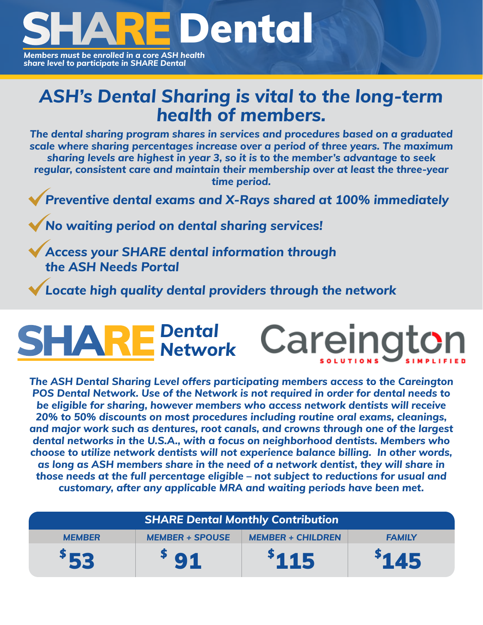

*Members must be enrolled in a core ASH health share level to participate in SHARE Dental*

## *ASH's Dental Sharing is vital to the long-term health of members.*

*The dental sharing program shares in services and procedures based on a graduated scale where sharing percentages increase over a period of three years. The maximum sharing levels are highest in year 3, so it is to the member's advantage to seek regular, consistent care and maintain their membership over at least the three-year time period.*

*Preventive dental exams and X-Rays shared at 100% immediately*

*No waiting period on dental sharing services!*

*Access your SHARE dental information through the ASH Needs Portal*

*Locate high quality dental providers through the network*

## *Dental Network*

*The ASH Dental Sharing Level offers participating members access to the Careington POS Dental Network. Use of the Network is not required in order for dental needs to be eligible for sharing, however members who access network dentists will receive 20% to 50% discounts on most procedures including routine oral exams, cleanings, and major work such as dentures, root canals, and crowns through one of the largest dental networks in the U.S.A., with a focus on neighborhood dentists. Members who choose to utilize network dentists will not experience balance billing. In other words, as long as ASH members share in the need of a network dentist, they will share in those needs at the full percentage eligible – not subject to reductions for usual and customary, after any applicable MRA and waiting periods have been met.*

| <b>SHARE Dental Monthly Contribution</b>                                             |     |       |       |  |  |  |  |
|--------------------------------------------------------------------------------------|-----|-------|-------|--|--|--|--|
| <b>MEMBER + CHILDREN</b><br><b>MEMBER + SPOUSE</b><br><b>MEMBER</b><br><b>FAMILY</b> |     |       |       |  |  |  |  |
| \$53                                                                                 | 591 | \$115 | \$145 |  |  |  |  |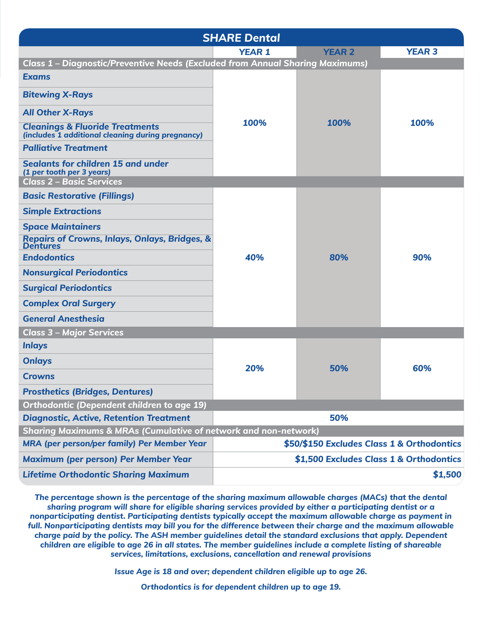| <b>SHARE Dental</b>                                                                             |                                            |                                         |               |  |  |
|-------------------------------------------------------------------------------------------------|--------------------------------------------|-----------------------------------------|---------------|--|--|
|                                                                                                 | <b>YEAR 1</b>                              | <b>YEAR 2</b>                           | <b>YEAR 3</b> |  |  |
| Class 1 - Diagnostic/Preventive Needs (Excluded from Annual Sharing Maximums)                   |                                            |                                         |               |  |  |
| <b>Exams</b>                                                                                    |                                            |                                         |               |  |  |
| <b>Bitewing X-Rays</b>                                                                          |                                            | 100%                                    | 100%          |  |  |
| <b>All Other X-Rays</b>                                                                         |                                            |                                         |               |  |  |
| <b>Cleanings &amp; Fluoride Treatments</b><br>(includes 1 additional cleaning during pregnancy) | 100%                                       |                                         |               |  |  |
| <b>Palliative Treatment</b>                                                                     |                                            |                                         |               |  |  |
| Sealants for children 15 and under<br>(1 per tooth per 3 years)                                 |                                            |                                         |               |  |  |
| <b>Class 2 - Basic Services</b>                                                                 |                                            |                                         |               |  |  |
| <b>Basic Restorative (Fillings)</b>                                                             |                                            |                                         |               |  |  |
| <b>Simple Extractions</b>                                                                       |                                            |                                         |               |  |  |
| <b>Space Maintainers</b>                                                                        |                                            |                                         |               |  |  |
| <b>Repairs of Crowns, Inlays, Onlays, Bridges, &amp;</b><br><b>Dentures</b>                     |                                            |                                         |               |  |  |
| <b>Endodontics</b>                                                                              | 40%                                        | 80%                                     | 90%           |  |  |
| <b>Nonsurgical Periodontics</b>                                                                 |                                            |                                         |               |  |  |
| <b>Surgical Periodontics</b>                                                                    |                                            |                                         |               |  |  |
| <b>Complex Oral Surgery</b>                                                                     |                                            |                                         |               |  |  |
| <b>General Anesthesia</b>                                                                       |                                            |                                         |               |  |  |
| <b>Class 3 - Major Services</b>                                                                 |                                            |                                         |               |  |  |
| <b>Inlays</b>                                                                                   |                                            |                                         |               |  |  |
| <b>Onlays</b>                                                                                   |                                            |                                         |               |  |  |
| <b>Crowns</b>                                                                                   | 20%                                        | 50%                                     | 60%           |  |  |
| <b>Prosthetics (Bridges, Dentures)</b>                                                          |                                            |                                         |               |  |  |
| <b>Orthodontic (Dependent children to age 19)</b>                                               |                                            |                                         |               |  |  |
| <b>Diagnostic, Active, Retention Treatment</b>                                                  | 50%                                        |                                         |               |  |  |
| <b>Sharing Maximums &amp; MRAs (Cumulative of network and non-network)</b>                      |                                            |                                         |               |  |  |
| MRA (per person/per family) Per Member Year                                                     | \$50/\$150 Excludes Class 1 & Orthodontics |                                         |               |  |  |
| <b>Maximum (per person) Per Member Year</b>                                                     |                                            | \$1,500 Excludes Class 1 & Orthodontics |               |  |  |
| <b>Lifetime Orthodontic Sharing Maximum</b>                                                     | \$1,500                                    |                                         |               |  |  |

*The percentage shown is the percentage of the sharing maximum allowable charges (MACs) that the dental sharing program will share for eligible sharing services provided by either a participating dentist or a nonparticipating dentist. Participating dentists typically accept the maximum allowable charge as payment in full. Nonparticipating dentists may bill you for the difference between their charge and the maximum allowable charge paid by the policy. The ASH member guidelines detail the standard exclusions that apply. Dependent children are eligible to age 26 in all states. The member guidelines include a complete listing of shareable services, limitations, exclusions, cancellation and renewal provisions*

*Issue Age is 18 and over; dependent children eligible up to age 26.*

*Orthodontics is for dependent children up to age 19.*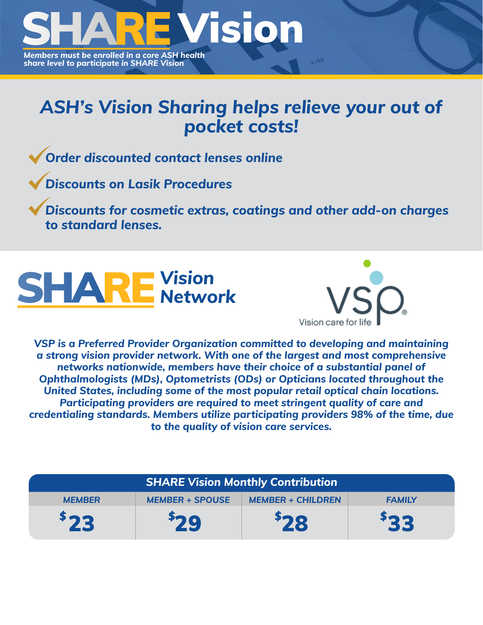

## *ASH's Vision Sharing helps relieve your out of pocket costs!*

*Order discounted contact lenses online*

*Discounts on Lasik Procedures*

*Discounts for cosmetic extras, coatings and other add-on charges to standard lenses.*





*VSP is a Preferred Provider Organization committed to developing and maintaining a strong vision provider network. With one of the largest and most comprehensive networks nationwide, members have their choice of a substantial panel of Ophthalmologists (MDs), Optometrists (ODs) or Opticians located throughout the United States, including some of the most popular retail optical chain locations. Participating providers are required to meet stringent quality of care and credentialing standards. Members utilize participating providers 98% of the time, due to the quality of vision care services.* 

| <b>SHARE Vision Monthly Contribution</b> |                        |                          |               |  |  |  |
|------------------------------------------|------------------------|--------------------------|---------------|--|--|--|
| <b>MEMBER</b>                            | <b>MEMBER + SPOUSE</b> | <b>MEMBER + CHILDREN</b> | <b>FAMILY</b> |  |  |  |
| 523                                      | 29                     | 28                       | 533           |  |  |  |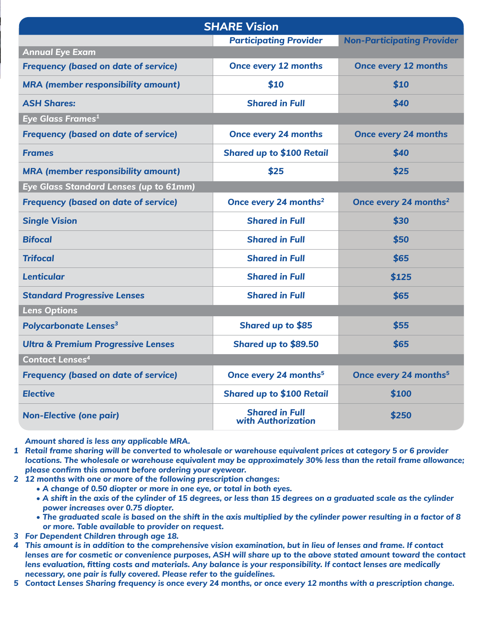| <b>SHARE Vision</b>                           |                                             |                                   |  |  |
|-----------------------------------------------|---------------------------------------------|-----------------------------------|--|--|
|                                               | <b>Participating Provider</b>               | <b>Non-Participating Provider</b> |  |  |
| <b>Annual Eye Exam</b>                        |                                             |                                   |  |  |
| <b>Frequency (based on date of service)</b>   | <b>Once every 12 months</b>                 | <b>Once every 12 months</b>       |  |  |
| <b>MRA</b> (member responsibility amount)     | \$10                                        | \$10                              |  |  |
| <b>ASH Shares:</b>                            | <b>Shared in Full</b>                       | \$40                              |  |  |
| Eye Glass Frames <sup>1</sup>                 |                                             |                                   |  |  |
| <b>Frequency (based on date of service)</b>   | <b>Once every 24 months</b>                 | <b>Once every 24 months</b>       |  |  |
| <b>Frames</b>                                 | <b>Shared up to \$100 Retail</b>            | \$40                              |  |  |
| <b>MRA</b> (member responsibility amount)     | \$25                                        | \$25                              |  |  |
| Eye Glass Standard Lenses (up to 61mm)        |                                             |                                   |  |  |
| <b>Frequency (based on date of service)</b>   | Once every 24 months <sup>2</sup>           | Once every 24 months <sup>2</sup> |  |  |
| <b>Single Vision</b>                          | <b>Shared in Full</b>                       | \$30                              |  |  |
| <b>Bifocal</b>                                | <b>Shared in Full</b>                       | \$50                              |  |  |
| <b>Trifocal</b>                               | <b>Shared in Full</b>                       | \$65                              |  |  |
| <b>Lenticular</b>                             | <b>Shared in Full</b>                       | \$125                             |  |  |
| <b>Standard Progressive Lenses</b>            | <b>Shared in Full</b>                       | \$65                              |  |  |
| <b>Lens Options</b>                           |                                             |                                   |  |  |
| <b>Polycarbonate Lenses<sup>3</sup></b>       | Shared up to \$85                           | \$55                              |  |  |
| <b>Ultra &amp; Premium Progressive Lenses</b> | Shared up to \$89.50                        | \$65                              |  |  |
| <b>Contact Lenses<sup>4</sup></b>             |                                             |                                   |  |  |
| <b>Frequency (based on date of service)</b>   | Once every 24 months <sup>5</sup>           | Once every 24 months <sup>5</sup> |  |  |
| <b>Elective</b>                               | <b>Shared up to \$100 Retail</b>            | \$100                             |  |  |
| <b>Non-Elective (one pair)</b>                | <b>Shared in Full</b><br>with Authorization | \$250                             |  |  |

*Amount shared is less any applicable MRA.*

- *Retail frame sharing will be converted to wholesale or warehouse equivalent prices at category 5 or 6 provider 1 locations. The wholesale or warehouse equivalent may be approximately 30% less than the retail frame allowance; please confirm this amount before ordering your eyewear.*
- *12 months with one or more of the following prescription changes: 2*
	- *A change of 0.50 diopter or more in one eye, or total in both eyes.*
	- *A shift in the axis of the cylinder of 15 degrees, or less than 15 degrees on a graduated scale as the cylinder power increases over 0.75 diopter.*
	- *The graduated scale is based on the shift in the axis multiplied by the cylinder power resulting in a factor of 8 or more. Table available to provider on request.*
- *For Dependent Children through age 18. 3*
- *This amount is in addition to the comprehensive vision examination, but in lieu of lenses and frame. If contact 4 lenses are for cosmetic or convenience purposes, ASH will share up to the above stated amount toward the contact lens evaluation, fitting costs and materials. Any balance is your responsibility. If contact lenses are medically necessary, one pair is fully covered. Please refer to the guidelines.*
- *Contact Lenses Sharing frequency is once every 24 months, or once every 12 months with a prescription change. 5*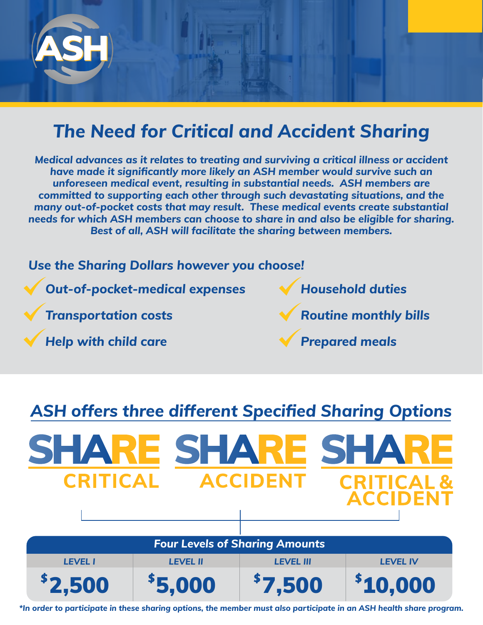

## *The Need for Critical and Accident Sharing*

*Medical advances as it relates to treating and surviving a critical illness or accident have made it significantly more likely an ASH member would survive such an unforeseen medical event, resulting in substantial needs. ASH members are committed to supporting each other through such devastating situations, and the many out-of-pocket costs that may result. These medical events create substantial needs for which ASH members can choose to share in and also be eligible for sharing. Best of all, ASH will facilitate the sharing between members.*



### *ASH offers three different Specified Sharing Options*



*\*In order to participate in these sharing options, the member must also participate in an ASH health share program.*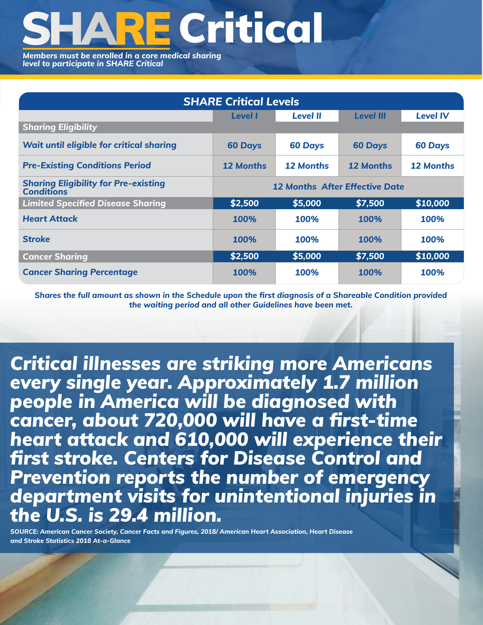# **RE Critical**

*Members must be enrolled in a core medical sharing level to participate in SHARE Critical*

| <b>SHARE Critical Levels</b>                                     |                                       |                  |                  |                  |  |
|------------------------------------------------------------------|---------------------------------------|------------------|------------------|------------------|--|
|                                                                  | <b>Level I</b>                        | <b>Level II</b>  | <b>Level III</b> | <b>Level IV</b>  |  |
| <b>Sharing Eligibility</b>                                       |                                       |                  |                  |                  |  |
| <b>Wait until eligible for critical sharing</b>                  | <b>60 Days</b>                        | <b>60 Days</b>   | <b>60 Days</b>   | <b>60 Days</b>   |  |
| <b>Pre-Existing Conditions Period</b>                            | 12 Months                             | <b>12 Months</b> | <b>12 Months</b> | <b>12 Months</b> |  |
| <b>Sharing Eligibility for Pre-existing</b><br><b>Conditions</b> | <b>12 Months After Effective Date</b> |                  |                  |                  |  |
| <b>Limited Specified Disease Sharing</b>                         | \$2,500                               | \$5,000          | \$7,500          | \$10,000         |  |
| <b>Heart Attack</b>                                              | 100%                                  | 100%             | 100%             | 100%             |  |
| <b>Stroke</b>                                                    | 100%                                  | 100%             | 100%             | 100%             |  |
| <b>Cancer Sharing</b>                                            | \$2,500                               | \$5,000          | \$7,500          | \$10,000         |  |
| <b>Cancer Sharing Percentage</b>                                 | <b>100%</b>                           | 100%             | 100%             | <b>100%</b>      |  |

*Shares the full amount as shown in the Schedule upon the first diagnosis of a Shareable Condition provided the waiting period and all other Guidelines have been met.*

*Critical illnesses are striking more Americans every single year. Approximately 1.7 million people in America will be diagnosed with cancer, about 720,000 will have a first-time heart attack and 610,000 will experience their first stroke. Centers for Disease Control and Prevention reports the number of emergency department visits for unintentional injuries in the U.S. is 29.4 million.*

*SOURCE: American Cancer Society, Cancer Facts and Figures, 2018/ American Heart Association, Heart Disease and Stroke Statistics 2018 At-a-Glance*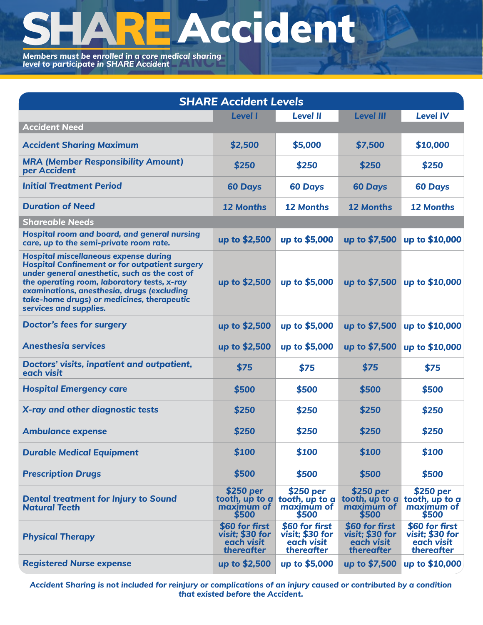# **EAccident**

*Members must be enrolled in a core medical sharing level to participate in SHARE Accident*

| <b>SHARE Accident Levels</b>                                                                                                                                                                                                                                                                                                |                                                               |                                                               |                                                                       |                                                               |  |
|-----------------------------------------------------------------------------------------------------------------------------------------------------------------------------------------------------------------------------------------------------------------------------------------------------------------------------|---------------------------------------------------------------|---------------------------------------------------------------|-----------------------------------------------------------------------|---------------------------------------------------------------|--|
|                                                                                                                                                                                                                                                                                                                             | <b>Level I</b>                                                | <b>Level II</b>                                               | <b>Level III</b>                                                      | <b>Level IV</b>                                               |  |
| <b>Accident Need</b>                                                                                                                                                                                                                                                                                                        |                                                               |                                                               |                                                                       |                                                               |  |
| <b>Accident Sharing Maximum</b>                                                                                                                                                                                                                                                                                             | \$2,500                                                       | \$5,000                                                       | \$7,500                                                               | \$10,000                                                      |  |
| <b>MRA (Member Responsibility Amount)</b><br>per Accident                                                                                                                                                                                                                                                                   | \$250                                                         | \$250                                                         | \$250                                                                 | \$250                                                         |  |
| <b>Initial Treatment Period</b>                                                                                                                                                                                                                                                                                             | <b>60 Days</b>                                                | <b>60 Days</b>                                                | <b>60 Days</b>                                                        | <b>60 Days</b>                                                |  |
| <b>Duration of Need</b>                                                                                                                                                                                                                                                                                                     | <b>12 Months</b>                                              | <b>12 Months</b>                                              | <b>12 Months</b>                                                      | <b>12 Months</b>                                              |  |
| <b>Shareable Needs</b>                                                                                                                                                                                                                                                                                                      |                                                               |                                                               |                                                                       |                                                               |  |
| Hospital room and board, and general nursing<br>care, up to the semi-private room rate.                                                                                                                                                                                                                                     | up to \$2,500                                                 | up to \$5,000                                                 | up to \$7,500                                                         | up to \$10,000                                                |  |
| <b>Hospital miscellaneous expense during</b><br><b>Hospital Confinement or for outpatient surgery</b><br>under general anesthetic, such as the cost of<br>the operating room, laboratory tests, x-ray<br>examinations, anesthesia, drugs (excluding<br>take-home drugs) or medicines, therapeutic<br>services and supplies. | up to \$2,500                                                 | up to \$5,000                                                 |                                                                       | up to \$7,500 up to \$10,000                                  |  |
| <b>Doctor's fees for surgery</b>                                                                                                                                                                                                                                                                                            | up to \$2,500                                                 | up to \$5,000                                                 | up to $$7,500$                                                        | up to \$10,000                                                |  |
| <b>Anesthesig services</b>                                                                                                                                                                                                                                                                                                  | up to \$2,500                                                 | up to \$5,000                                                 | up to \$7,500                                                         | up to \$10,000                                                |  |
| <b>Doctors' visits, inpatient and outpatient,</b><br>each visit                                                                                                                                                                                                                                                             | \$75                                                          | \$75                                                          | \$75                                                                  | \$75                                                          |  |
| <b>Hospital Emergency care</b>                                                                                                                                                                                                                                                                                              | \$500                                                         | \$500                                                         | \$500                                                                 | \$500                                                         |  |
| X-ray and other diagnostic tests                                                                                                                                                                                                                                                                                            | \$250                                                         | \$250                                                         | \$250                                                                 | \$250                                                         |  |
| <b>Ambulance expense</b>                                                                                                                                                                                                                                                                                                    | \$250                                                         | \$250                                                         | \$250                                                                 | \$250                                                         |  |
| <b>Durable Medical Equipment</b>                                                                                                                                                                                                                                                                                            | \$100                                                         | \$100                                                         | \$100                                                                 | \$100                                                         |  |
| <b>Prescription Drugs</b>                                                                                                                                                                                                                                                                                                   | \$500                                                         | \$500                                                         | \$500                                                                 | \$500                                                         |  |
| <b>Dental treatment for Injury to Sound</b><br><b>Natural Teeth</b>                                                                                                                                                                                                                                                         | \$250 per<br>tooth, up to $a$<br>maximum of<br>\$500          | \$250 per<br>tooth, up to a<br>maximum of<br>\$500            | \$250 per<br>tooth, up to $a$ tooth, up to $a$<br>maximum of<br>\$500 | \$250 per<br>maximum of<br>\$500                              |  |
| <b>Physical Therapy</b>                                                                                                                                                                                                                                                                                                     | \$60 for first<br>visit; \$30 for<br>each visit<br>thereafter | \$60 for first<br>visit; \$30 for<br>each visit<br>thereafter | \$60 for first<br>visit; \$30 for<br>each visit<br>thereafter         | \$60 for first<br>visit; \$30 for<br>each visit<br>thereafter |  |
| <b>Registered Nurse expense</b>                                                                                                                                                                                                                                                                                             | up to \$2,500                                                 | up to \$5,000                                                 | up to \$7,500                                                         | up to \$10,000                                                |  |

*Accident Sharing is not included for reinjury or complications of an injury caused or contributed by a condition that existed before the Accident.*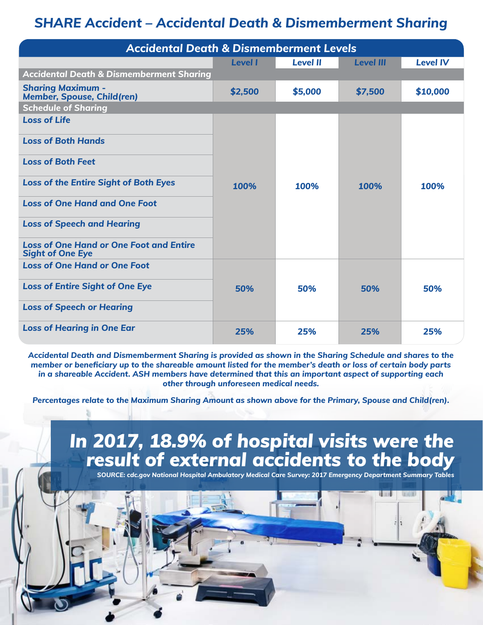### *SHARE Accident – Accidental Death & Dismemberment Sharing*

| <b>Accidental Death &amp; Dismemberment Levels</b>                        |                |                 |                  |                 |
|---------------------------------------------------------------------------|----------------|-----------------|------------------|-----------------|
|                                                                           | <b>Level I</b> | <b>Level II</b> | <b>Level III</b> | <b>Level IV</b> |
| <b>Accidental Death &amp; Dismemberment Sharing</b>                       |                |                 |                  |                 |
| <b>Sharing Maximum -</b><br><b>Member, Spouse, Child(ren)</b>             | \$2,500        | \$5,000         | \$7,500          | \$10,000        |
| <b>Schedule of Sharing</b>                                                |                |                 |                  |                 |
| <b>Loss of Life</b>                                                       |                |                 |                  |                 |
| <b>Loss of Both Hands</b>                                                 |                |                 |                  |                 |
| <b>Loss of Both Feet</b>                                                  |                |                 |                  |                 |
| <b>Loss of the Entire Sight of Both Eyes</b>                              | 100%           | 100%            | 100%             | 100%            |
| <b>Loss of One Hand and One Foot</b>                                      |                |                 |                  |                 |
| <b>Loss of Speech and Hearing</b>                                         |                |                 |                  |                 |
| <b>Loss of One Hand or One Foot and Entire</b><br><b>Sight of One Eye</b> |                |                 |                  |                 |
| <b>Loss of One Hand or One Foot</b>                                       |                |                 |                  |                 |
| <b>Loss of Entire Sight of One Eye</b>                                    | 50%            | 50%             | 50%              | 50%             |
| <b>Loss of Speech or Hearing</b>                                          |                |                 |                  |                 |
| <b>Loss of Hearing in One Ear</b>                                         | 25%            | 25%             | 25%              | 25%             |

*Accidental Death and Dismemberment Sharing is provided as shown in the Sharing Schedule and shares to the member or beneficiary up to the shareable amount listed for the member's death or loss of certain body parts in a shareable Accident. ASH members have determined that this an important aspect of supporting each other through unforeseen medical needs.*

*Percentages relate to the Maximum Sharing Amount as shown above for the Primary, Spouse and Child(ren).*

## *In 2017, 18.9% of hospital visits were the result of external accidents to the body*

*SOURCE: cdc.gov National Hospital Ambulatory Medical Care Survey: 2017 Emergency Department Summary Tables*

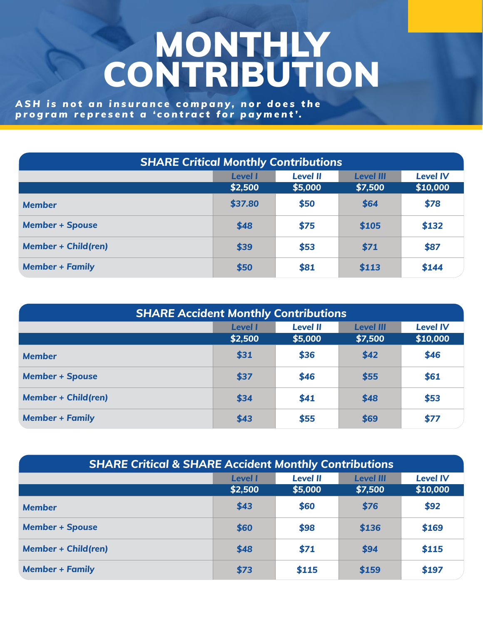## MONTHLY CONTRIBUTION

*A S H i s n o t a n i n s u r a n c e c o m p a n y , n o r d o e s t h e program represent a 'contract for payment'.*

| <b>SHARE Critical Monthly Contributions</b> |                           |                            |                             |                             |
|---------------------------------------------|---------------------------|----------------------------|-----------------------------|-----------------------------|
|                                             | <b>Level I</b><br>\$2,500 | <b>Level II</b><br>\$5,000 | <b>Level III</b><br>\$7,500 | <b>Level IV</b><br>\$10,000 |
| <b>Member</b>                               | \$37.80                   | \$50                       | \$64                        | \$78                        |
| <b>Member + Spouse</b>                      | \$48                      | \$75                       | \$105                       | \$132                       |
| <b>Member + Child(ren)</b>                  | \$39                      | \$53                       | \$71                        | \$87                        |
| <b>Member + Family</b>                      | \$50                      | \$81                       | \$113                       | \$144                       |

| <b>SHARE Accident Monthly Contributions</b> |                                                                          |         |         |          |  |  |
|---------------------------------------------|--------------------------------------------------------------------------|---------|---------|----------|--|--|
|                                             | <b>Level IV</b><br><b>Level II</b><br><b>Level I</b><br><b>Level III</b> |         |         |          |  |  |
|                                             | \$2,500                                                                  | \$5,000 | \$7,500 | \$10,000 |  |  |
| <b>Member</b>                               | \$31                                                                     | \$36    | \$42    | \$46     |  |  |
| <b>Member + Spouse</b>                      | \$37                                                                     | \$46    | \$55    | \$61     |  |  |
| <b>Member + Child(ren)</b>                  | \$34                                                                     | \$41    | \$48    | \$53     |  |  |
| <b>Member + Family</b>                      | \$43                                                                     | \$55    | \$69    | \$77     |  |  |

| <b>SHARE Critical &amp; SHARE Accident Monthly Contributions</b> |                |                 |                  |                 |
|------------------------------------------------------------------|----------------|-----------------|------------------|-----------------|
|                                                                  | <b>Level I</b> | <b>Level II</b> | <b>Level III</b> | <b>Level IV</b> |
|                                                                  | \$2,500        | \$5,000         | \$7,500          | \$10,000        |
| <b>Member</b>                                                    | \$43           | \$60            | \$76             | \$92            |
| <b>Member + Spouse</b>                                           | \$60           | \$98            | \$136            | \$169           |
| <b>Member + Child(ren)</b>                                       | \$48           | \$71            | \$94             | \$115           |
| <b>Member + Family</b>                                           | \$73           | \$115           | \$159            | \$197           |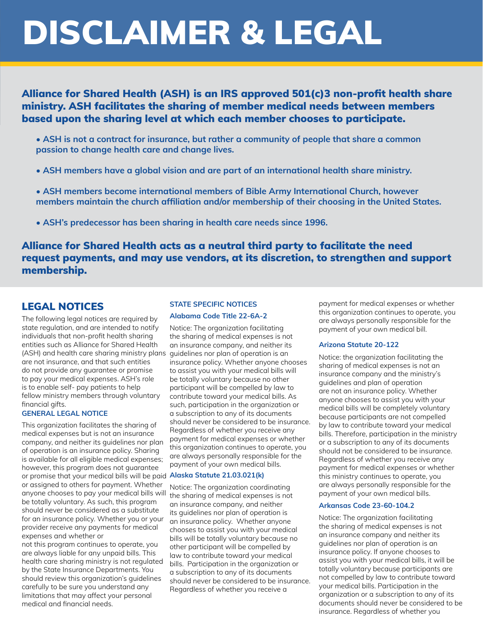## DISCLAIMER & LEGAL

#### Alliance for Shared Health (ASH) is an IRS approved 501(c)3 non-profit health share ministry. ASH facilitates the sharing of member medical needs between members based upon the sharing level at which each member chooses to participate.

- **ASH is not a contract for insurance, but rather a community of people that share a common passion to change health care and change lives.**
- **ASH members have a global vision and are part of an international health share ministry.**
- **ASH members become international members of Bible Army International Church, however members maintain the church affiliation and/or membership of their choosing in the United States.**
- **ASH's predecessor has been sharing in health care needs since 1996.**

#### Alliance for Shared Health acts as a neutral third party to facilitate the need request payments, and may use vendors, at its discretion, to strengthen and support membership.

#### LEGAL NOTICES

The following legal notices are required by state regulation, and are intended to notify individuals that non-profit health sharing entities such as Alliance for Shared Health (ASH) and health care sharing ministry plans guidelines nor plan of operation is an are not insurance, and that such entities do not provide any guarantee or promise to pay your medical expenses. ASH's role is to enable self- pay patients to help fellow ministry members through voluntary financial gifts.

#### **GENERAL LEGAL NOTICE**

anyone chooses to pay your medical bills will the sharing of medical expenses is not This organization facilitates the sharing of medical expenses but is not an insurance company, and neither its guidelines nor plan of operation is an insurance policy. Sharing is available for all eligible medical expenses; however, this program does not guarantee or promise that your medical bills will be paid **Alaska Statute 21.03.021(k)**or assigned to others for payment. Whether be totally voluntary. As such, this program should never be considered as a substitute for an insurance policy. Whether you or your provider receive any payments for medical expenses and whether or

not this program continues to operate, you are always liable for any unpaid bills. This health care sharing ministry is not regulated by the State Insurance Departments. You should review this organization's guidelines carefully to be sure you understand any limitations that may affect your personal medical and financial needs.

#### **STATE SPECIFIC NOTICES Alabama Code Title 22-6A-2**

Notice: The organization facilitating the sharing of medical expenses is not an insurance company, and neither its insurance policy. Whether anyone chooses to assist you with your medical bills will be totally voluntary because no other participant will be compelled by law to contribute toward your medical bills. As such, participation in the organization or a subscription to any of its documents should never be considered to be insurance. Regardless of whether you receive any payment for medical expenses or whether this organization continues to operate, you are always personally responsible for the payment of your own medical bills.

Notice: The organization coordinating an insurance company, and neither its guidelines nor plan of operation is an insurance policy. Whether anyone chooses to assist you with your medical bills will be totally voluntary because no other participant will be compelled by law to contribute toward your medical bills. Participation in the organization or a subscription to any of its documents should never be considered to be insurance. Regardless of whether you receive a

payment for medical expenses or whether this organization continues to operate, you are always personally responsible for the payment of your own medical bill.

#### **Arizona Statute 20-122**

Notice: the organization facilitating the sharing of medical expenses is not an insurance company and the ministry's guidelines and plan of operation are not an insurance policy. Whether anyone chooses to assist you with your medical bills will be completely voluntary because participants are not compelled by law to contribute toward your medical bills. Therefore, participation in the ministry or a subscription to any of its documents should not be considered to be insurance. Regardless of whether you receive any payment for medical expenses or whether this ministry continues to operate, you are always personally responsible for the payment of your own medical bills.

#### **Arkansas Code 23-60-104.2**

Notice: The organization facilitating the sharing of medical expenses is not an insurance company and neither its guidelines nor plan of operation is an insurance policy. If anyone chooses to assist you with your medical bills, it will be totally voluntary because participants are not compelled by law to contribute toward your medical bills. Participation in the organization or a subscription to any of its documents should never be considered to be insurance. Regardless of whether you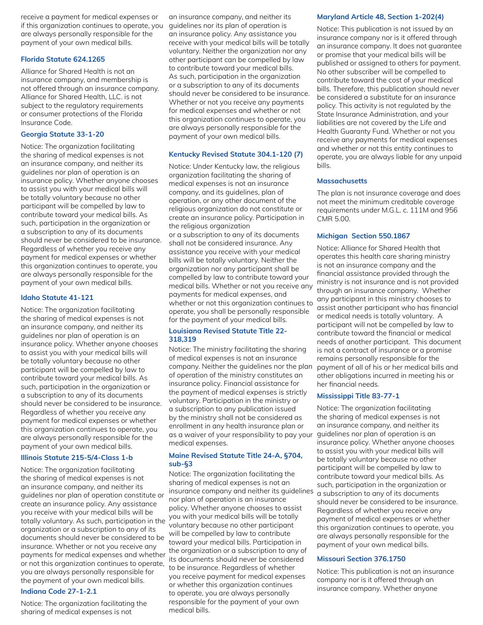receive a payment for medical expenses or if this organization continues to operate, you are always personally responsible for the payment of your own medical bills.

#### **Florida Statute 624.1265**

Alliance for Shared Health is not an insurance company, and membership is not offered through an insurance company. Alliance for Shared Health, LLC. is not subject to the regulatory requirements or consumer protections of the Florida Insurance Code.

#### **Georgia Statute 33-1-20**

Notice: The organization facilitating the sharing of medical expenses is not an insurance company, and neither its guidelines nor plan of operation is an insurance policy. Whether anyone chooses to assist you with your medical bills will be totally voluntary because no other participant will be compelled by law to contribute toward your medical bills. As such, participation in the organization or a subscription to any of its documents should never be considered to be insurance. Regardless of whether you receive any payment for medical expenses or whether this organization continues to operate, you are always personally responsible for the payment of your own medical bills.

#### **Idaho Statute 41-121**

Notice: The organization facilitating the sharing of medical expenses is not an insurance company, and neither its guidelines nor plan of operation is an insurance policy. Whether anyone chooses to assist you with your medical bills will be totally voluntary because no other participant will be compelled by law to contribute toward your medical bills. As such, participation in the organization or a subscription to any of its documents should never be considered to be insurance. Regardless of whether you receive any payment for medical expenses or whether this organization continues to operate, you are always personally responsible for the payment of your own medical bills.

#### **Illinois Statute 215-5/4-Class 1-b**

Notice: The organization facilitating the sharing of medical expenses is not an insurance company, and neither its guidelines nor plan of operation constitute or create an insurance policy. Any assistance you receive with your medical bills will be totally voluntary. As such, participation in the you with your medical bills will be totally organization or a subscription to any of its documents should never be considered to be insurance. Whether or not you receive any payments for medical expenses and whether or not this organization continues to operate, you are always personally responsible for the payment of your own medical bills.

#### **Indiana Code 27-1-2.1**

Notice: The organization facilitating the sharing of medical expenses is not

an insurance company, and neither its guidelines nor its plan of operation is an insurance policy. Any assistance you receive with your medical bills will be totally voluntary. Neither the organization nor any other participant can be compelled by law to contribute toward your medical bills. As such, participation in the organization or a subscription to any of its documents should never be considered to be insurance. Whether or not you receive any payments for medical expenses and whether or not this organization continues to operate, you are always personally responsible for the payment of your own medical bills.

#### **Kentucky Revised Statute 304.1-120 (7)**

Notice: Under Kentucky law, the religious organization facilitating the sharing of medical expenses is not an insurance company, and its guidelines, plan of operation, or any other document of the religious organization do not constitute or create an insurance policy. Participation in the religious organization or a subscription to any of its documents shall not be considered insurance. Any assistance you receive with your medical bills will be totally voluntary. Neither the organization nor any participant shall be compelled by law to contribute toward your medical bills. Whether or not you receive any payments for medical expenses, and whether or not this organization continues to operate, you shall be personally responsible for the payment of your medical bills.

#### **Louisiana Revised Statute Title 22- 318,319**

Notice: The ministry facilitating the sharing of medical expenses is not an insurance company. Neither the guidelines nor the plan of operation of the ministry constitutes an insurance policy. Financial assistance for the payment of medical expenses is strictly voluntary. Participation in the ministry or a subscription to any publication issued by the ministry shall not be considered as enrollment in any health insurance plan or as a waiver of your responsibility to pay your guidelines nor plan of operation is an medical expenses.

#### **Maine Revised Statute Title 24-A, §704, sub-§3**

Notice: The organization facilitating the sharing of medical expenses is not an insurance company and neither its guidelines nor plan of operation is an insurance policy. Whether anyone chooses to assist voluntary because no other participant will be compelled by law to contribute toward your medical bills. Participation in the organization or a subscription to any of its documents should never be considered to be insurance. Regardless of whether you receive payment for medical expenses or whether this organization continues to operate, you are always personally responsible for the payment of your own medical bills.

#### **Maryland Article 48, Section 1-202(4)**

Notice: This publication is not issued by an insurance company nor is it offered through an insurance company. It does not guarantee or promise that your medical bills will be published or assigned to others for payment. No other subscriber will be compelled to contribute toward the cost of your medical bills. Therefore, this publication should never be considered a substitute for an insurance policy. This activity is not regulated by the State Insurance Administration, and your liabilities are not covered by the Life and Health Guaranty Fund. Whether or not you receive any payments for medical expenses and whether or not this entity continues to operate, you are always liable for any unpaid bills.

#### **Massachusetts**

The plan is not insurance coverage and does not meet the minimum creditable coverage requirements under M.G.L. c. 111M and 956 CMR 5.00.

#### **Michigan Section 550.1867**

Notice: Alliance for Shared Health that operates this health care sharing ministry is not an insurance company and the financial assistance provided through the ministry is not insurance and is not provided through an insurance company. Whether any participant in this ministry chooses to assist another participant who has financial or medical needs is totally voluntary. A participant will not be compelled by law to contribute toward the financial or medical needs of another participant. This document is not a contract of insurance or a promise remains personally responsible for the payment of all of his or her medical bills and other obligations incurred in meeting his or her financial needs.

#### **Mississippi Title 83-77-1**

Notice: The organization facilitating the sharing of medical expenses is not an insurance company, and neither its insurance policy. Whether anyone chooses to assist you with your medical bills will be totally voluntary because no other participant will be compelled by law to contribute toward your medical bills. As such, participation in the organization or a subscription to any of its documents should never be considered to be insurance. Regardless of whether you receive any payment of medical expenses or whether this organization continues to operate, you are always personally responsible for the payment of your own medical bills.

#### **Missouri Section 376.1750**

Notice: This publication is not an insurance company nor is it offered through an insurance company. Whether anyone